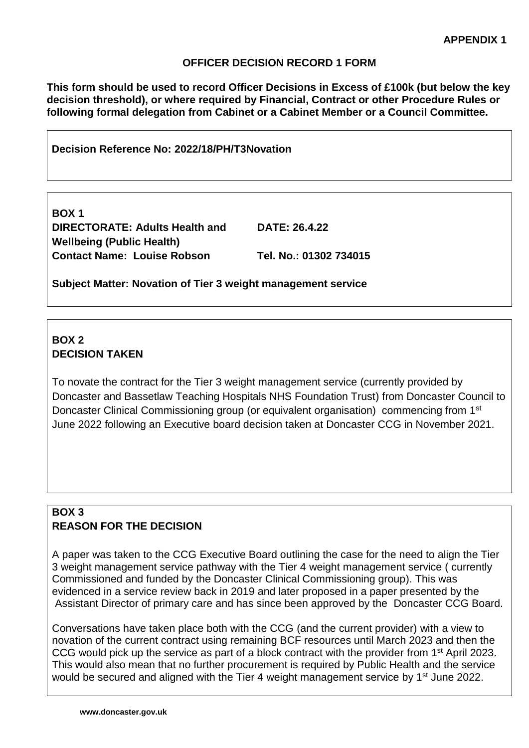#### **OFFICER DECISION RECORD 1 FORM**

**This form should be used to record Officer Decisions in Excess of £100k (but below the key decision threshold), or where required by Financial, Contract or other Procedure Rules or following formal delegation from Cabinet or a Cabinet Member or a Council Committee.** 

**Decision Reference No: 2022/18/PH/T3Novation**

**BOX 1 DIRECTORATE: Adults Health and Wellbeing (Public Health) Contact Name: Louise Robson Tel. No.: 01302 734015**

**DATE: 26.4.22**

**Subject Matter: Novation of Tier 3 weight management service**

# **BOX 2 DECISION TAKEN**

To novate the contract for the Tier 3 weight management service (currently provided by Doncaster and Bassetlaw Teaching Hospitals NHS Foundation Trust) from Doncaster Council to Doncaster Clinical Commissioning group (or equivalent organisation) commencing from 1<sup>st</sup> June 2022 following an Executive board decision taken at Doncaster CCG in November 2021.

## **BOX 3 REASON FOR THE DECISION**

A paper was taken to the CCG Executive Board outlining the case for the need to align the Tier 3 weight management service pathway with the Tier 4 weight management service ( currently Commissioned and funded by the Doncaster Clinical Commissioning group). This was evidenced in a service review back in 2019 and later proposed in a paper presented by the Assistant Director of primary care and has since been approved by the Doncaster CCG Board.

Conversations have taken place both with the CCG (and the current provider) with a view to novation of the current contract using remaining BCF resources until March 2023 and then the CCG would pick up the service as part of a block contract with the provider from 1<sup>st</sup> April 2023. This would also mean that no further procurement is required by Public Health and the service would be secured and aligned with the Tier 4 weight management service by 1<sup>st</sup> June 2022.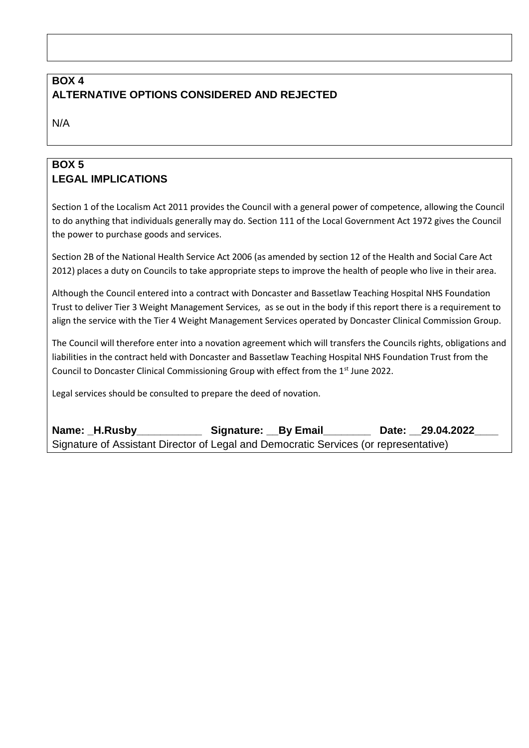## **BOX 4 ALTERNATIVE OPTIONS CONSIDERED AND REJECTED**

N/A

## **BOX 5 LEGAL IMPLICATIONS**

Section 1 of the Localism Act 2011 provides the Council with a general power of competence, allowing the Council to do anything that individuals generally may do. Section 111 of the Local Government Act 1972 gives the Council the power to purchase goods and services.

Section 2B of the National Health Service Act 2006 (as amended by section 12 of the Health and Social Care Act 2012) places a duty on Councils to take appropriate steps to improve the health of people who live in their area.

Although the Council entered into a contract with Doncaster and Bassetlaw Teaching Hospital NHS Foundation Trust to deliver Tier 3 Weight Management Services, as se out in the body if this report there is a requirement to align the service with the Tier 4 Weight Management Services operated by Doncaster Clinical Commission Group.

The Council will therefore enter into a novation agreement which will transfers the Councils rights, obligations and liabilities in the contract held with Doncaster and Bassetlaw Teaching Hospital NHS Foundation Trust from the Council to Doncaster Clinical Commissioning Group with effect from the 1<sup>st</sup> June 2022.

Legal services should be consulted to prepare the deed of novation.

**Name: \_H.Rusby\_\_\_\_\_\_\_\_\_\_\_ Signature: \_\_By Email\_\_\_\_\_\_\_\_ Date: \_\_29.04.2022\_\_\_\_** Signature of Assistant Director of Legal and Democratic Services (or representative)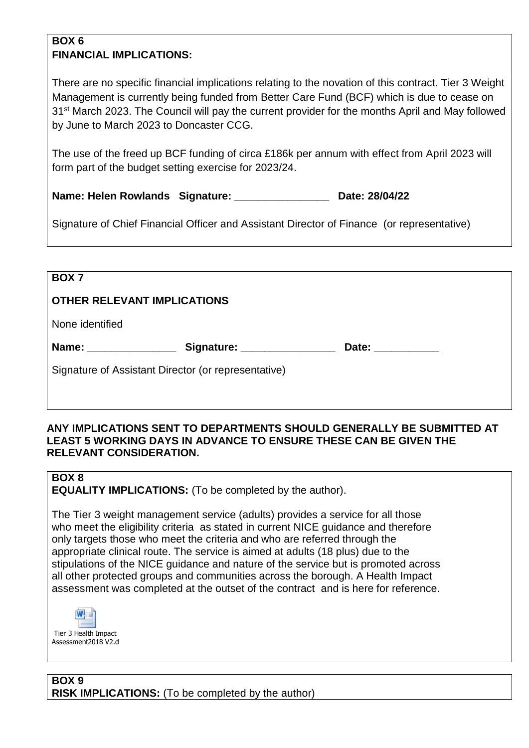### **BOX 6 FINANCIAL IMPLICATIONS:**

There are no specific financial implications relating to the novation of this contract. Tier 3 Weight Management is currently being funded from Better Care Fund (BCF) which is due to cease on 31<sup>st</sup> March 2023. The Council will pay the current provider for the months April and May followed by June to March 2023 to Doncaster CCG.

The use of the freed up BCF funding of circa £186k per annum with effect from April 2023 will form part of the budget setting exercise for 2023/24.

**Name: Helen Rowlands Signature: Communist Communist Communist Communist Communist Communist Communist Communist Communist Communist Communist Communist Communist Communist Communist Communist Communist Communist Communist** 

Signature of Chief Financial Officer and Assistant Director of Finance (or representative)

| BOX <sub>7</sub>                                                    |  |  |  |
|---------------------------------------------------------------------|--|--|--|
| <b>OTHER RELEVANT IMPLICATIONS</b>                                  |  |  |  |
| None identified                                                     |  |  |  |
| Name: _____________<br>Signature: _______________<br>Date: ________ |  |  |  |
| Signature of Assistant Director (or representative)                 |  |  |  |
|                                                                     |  |  |  |

### **ANY IMPLICATIONS SENT TO DEPARTMENTS SHOULD GENERALLY BE SUBMITTED AT LEAST 5 WORKING DAYS IN ADVANCE TO ENSURE THESE CAN BE GIVEN THE RELEVANT CONSIDERATION.**

# **BOX 8**

**EQUALITY IMPLICATIONS:** (To be completed by the author).

The Tier 3 weight management service (adults) provides a service for all those who meet the eligibility criteria as stated in current NICE guidance and therefore only targets those who meet the criteria and who are referred through the appropriate clinical route. The service is aimed at adults (18 plus) due to the stipulations of the NICE guidance and nature of the service but is promoted across all other protected groups and communities across the borough. A Health Impact assessment was completed at the outset of the contract and is here for reference.

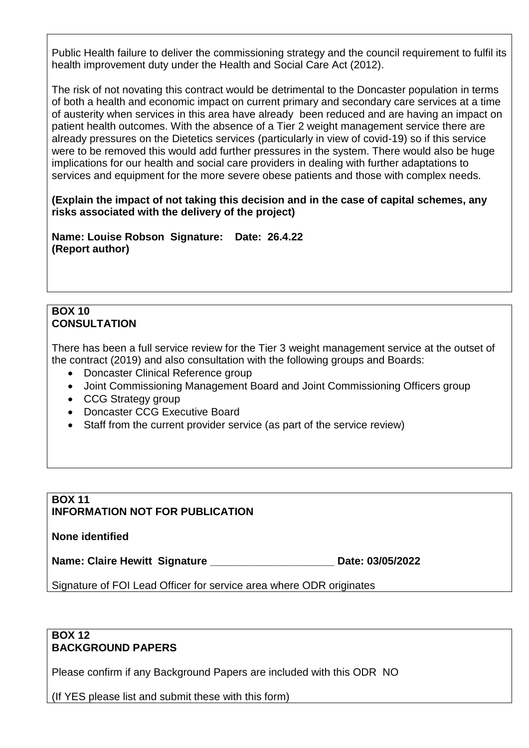Public Health failure to deliver the commissioning strategy and the council requirement to fulfil its health improvement duty under the Health and Social Care Act (2012).

The risk of not novating this contract would be detrimental to the Doncaster population in terms of both a health and economic impact on current primary and secondary care services at a time of austerity when services in this area have already been reduced and are having an impact on patient health outcomes. With the absence of a Tier 2 weight management service there are already pressures on the Dietetics services (particularly in view of covid-19) so if this service were to be removed this would add further pressures in the system. There would also be huge implications for our health and social care providers in dealing with further adaptations to services and equipment for the more severe obese patients and those with complex needs.

**(Explain the impact of not taking this decision and in the case of capital schemes, any risks associated with the delivery of the project)**

**Name: Louise Robson Signature: Date: 26.4.22 (Report author)**

### **BOX 10 CONSULTATION**

There has been a full service review for the Tier 3 weight management service at the outset of the contract (2019) and also consultation with the following groups and Boards:

- Doncaster Clinical Reference group
- Joint Commissioning Management Board and Joint Commissioning Officers group
- CCG Strategy group
- Doncaster CCG Executive Board
- Staff from the current provider service (as part of the service review)

#### **BOX 11 INFORMATION NOT FOR PUBLICATION**

**None identified**

**Name: Claire Hewitt Signature \_\_\_\_\_\_\_\_\_\_\_\_\_\_\_\_\_\_\_\_\_ Date: 03/05/2022**

Signature of FOI Lead Officer for service area where ODR originates

#### **BOX 12 BACKGROUND PAPERS**

Please confirm if any Background Papers are included with this ODR NO

(If YES please list and submit these with this form)